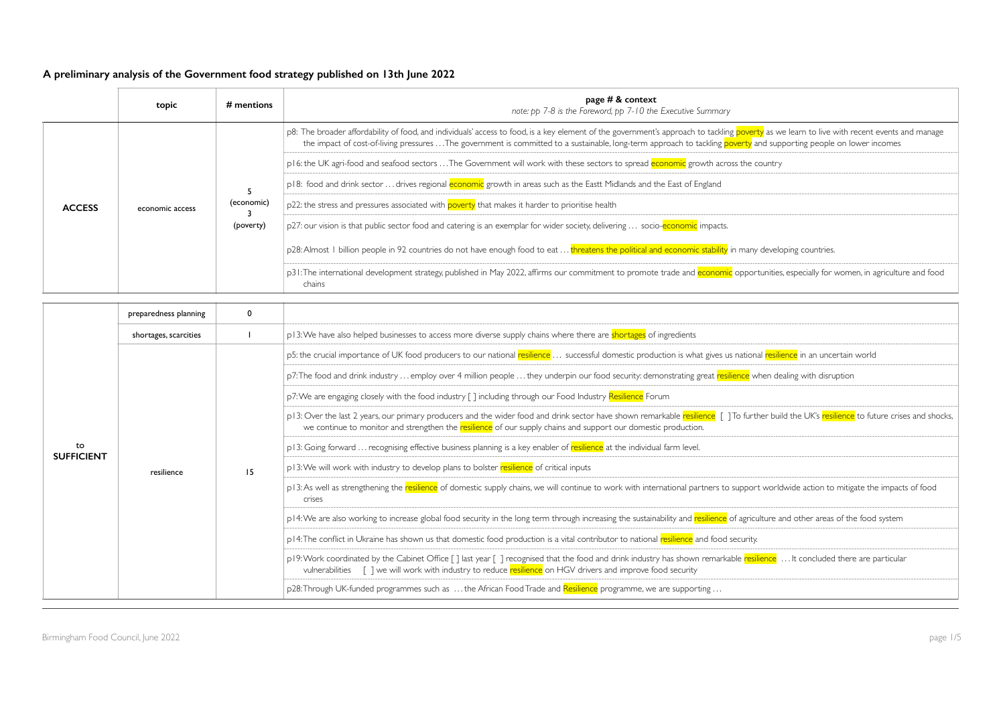|               | topic           | $#$ mentions | page $# &$ context<br>note: pp 7-8 is the Foreword, pp 7-10 the Executive Summary                                                                                                                                                                                                                                                                                 |
|---------------|-----------------|--------------|-------------------------------------------------------------------------------------------------------------------------------------------------------------------------------------------------------------------------------------------------------------------------------------------------------------------------------------------------------------------|
| <b>ACCESS</b> | economic access |              | p8: The broader affordability of food, and individuals' access to food, is a key element of the government's approach to tackling poverty as we learn to live with recent events and manage<br>the impact of cost-of-living pressures The government is committed to a sustainable, long-term approach to tackling poverty and supporting people on lower incomes |
|               |                 |              | p16: the UK agri-food and seafood sectors  The Government will work with these sectors to spread economic growth across the country                                                                                                                                                                                                                               |
|               |                 | (economic)   | p18: food and drink sector  drives regional economic growth in areas such as the Eastt Midlands and the East of England                                                                                                                                                                                                                                           |
|               |                 |              | p22: the stress and pressures associated with poverty that makes it harder to prioritise health                                                                                                                                                                                                                                                                   |
|               |                 | (poverty)    | p27: our vision is that public sector food and catering is an exemplar for wider society, delivering  socio-economic impacts.                                                                                                                                                                                                                                     |
|               |                 |              | p28: Almost I billion people in 92 countries do not have enough food to eat  threatens the political and economic stability in many developing countries.                                                                                                                                                                                                         |
|               |                 |              | p31: The international development strategy, published in May 2022, affirms our commitment to promote trade and economic opportunities, especially for women, in agriculture and food<br>chains                                                                                                                                                                   |

|                         | preparedness planning |    |                                                                                                                                                                                                                                                                                                               |
|-------------------------|-----------------------|----|---------------------------------------------------------------------------------------------------------------------------------------------------------------------------------------------------------------------------------------------------------------------------------------------------------------|
|                         | shortages, scarcities |    | p13: We have also helped businesses to access more diverse supply chains where there are shortages of ingredients                                                                                                                                                                                             |
|                         |                       |    | p5: the crucial importance of UK food producers to our national resilience  successful domestic production is what gives us national resilience in an uncertain world                                                                                                                                         |
|                         |                       | 15 | p7: The food and drink industry  employ over 4 million people  they underpin our food security: demonstrating great resilience when dealing with disruption                                                                                                                                                   |
|                         |                       |    | p7: We are engaging closely with the food industry [] including through our Food Industry Resilience Forum                                                                                                                                                                                                    |
|                         |                       |    | p13: Over the last 2 years, our primary producers and the wider food and drink sector have shown remarkable resilience [] To further build the UK's resilience to future crises and shocks,<br>we continue to monitor and strengthen the resilience of our supply chains and support our domestic production. |
| to<br><b>SUFFICIENT</b> |                       |    | p13: Going forward  recognising effective business planning is a key enabler of resilience at the individual farm level.                                                                                                                                                                                      |
|                         | resilience            |    | p13: We will work with industry to develop plans to bolster resilience of critical inputs                                                                                                                                                                                                                     |
|                         |                       |    | p13: As well as strengthening the resilience of domestic supply chains, we will continue to work with international partners to support worldwide action to mitigate the impacts of food<br>crises                                                                                                            |
|                         |                       |    | p14:We are also working to increase global food security in the long term through increasing the sustainability and resilience of agriculture and other areas of the food system                                                                                                                              |
|                         |                       |    | p14: The conflict in Ukraine has shown us that domestic food production is a vital contributor to national resilience and food security.                                                                                                                                                                      |
|                         |                       |    | p19: Work coordinated by the Cabinet Office [] last year [] recognised that the food and drink industry has shown remarkable resilience  It concluded there are particular<br>vulnerabilities [] we will work with industry to reduce resilience on HGV drivers and improve food security                     |
|                         |                       |    | p28: Through UK-funded programmes such as  the African Food Trade and Resilience programme, we are supporting                                                                                                                                                                                                 |

| we learn to live with recent events and manage<br>upporting people on lower incomes |
|-------------------------------------------------------------------------------------|
| try                                                                                 |
|                                                                                     |
|                                                                                     |
|                                                                                     |
| eloping countries.                                                                  |
| ties, especially for women, in agriculture and food                                 |
|                                                                                     |
|                                                                                     |
|                                                                                     |
| <mark>silience</mark> in an uncertain world                                         |
| dealing with disruption                                                             |
|                                                                                     |
| build the UK's <mark>resilience</mark> to future crises and shocks,                 |
|                                                                                     |
|                                                                                     |
| rldwide action to mitigate the impacts of food                                      |
| e and other areas of the food system                                                |
|                                                                                     |
| <mark>e</mark> …lt concluded there are particular                                   |
|                                                                                     |
|                                                                                     |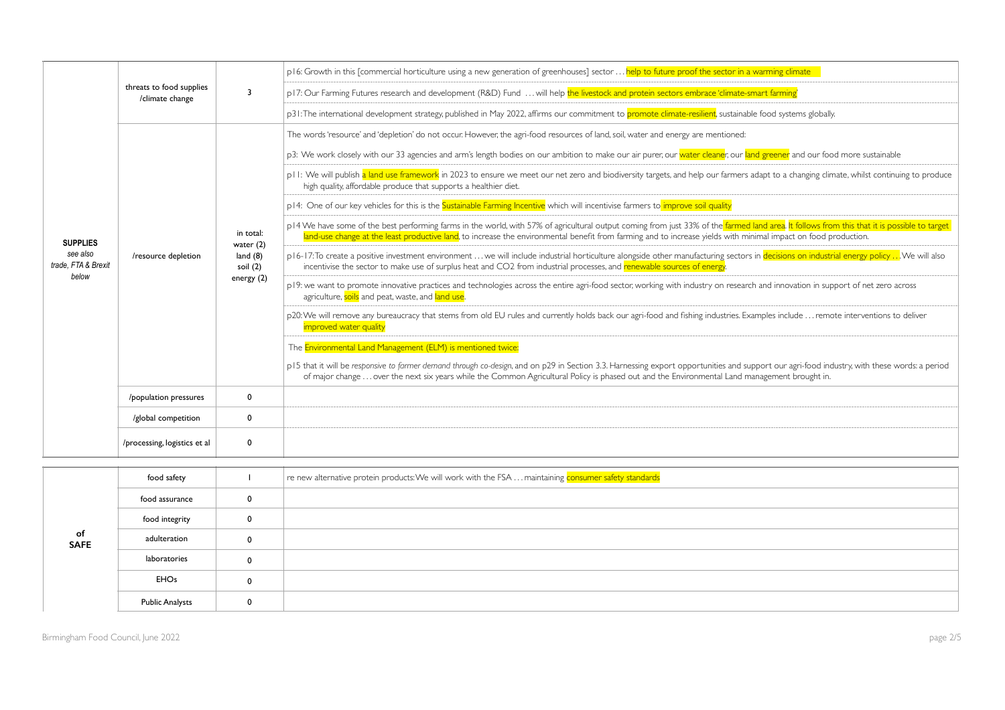|                                                    | threats to food supplies<br>/climate change | 3                                                                    | p16: Growth in this [commercial horticulture using a new generation of greenhouses] sector  help to future proof the sector in a warming climate                                                                                                                                                                                                                |
|----------------------------------------------------|---------------------------------------------|----------------------------------------------------------------------|-----------------------------------------------------------------------------------------------------------------------------------------------------------------------------------------------------------------------------------------------------------------------------------------------------------------------------------------------------------------|
|                                                    |                                             |                                                                      | p17: Our Farming Futures research and development (R&D) Fund  will help the livestock and protein sectors embrace 'climate-smart farming'                                                                                                                                                                                                                       |
|                                                    |                                             |                                                                      | p31: The international development strategy, published in May 2022, affirms our commitment to promote climate-resilient, sustainable food systems globally.                                                                                                                                                                                                     |
|                                                    |                                             |                                                                      | The words 'resource' and 'depletion' do not occur. However, the agri-food resources of land, soil, water and energy are mentioned:                                                                                                                                                                                                                              |
|                                                    |                                             |                                                                      | p3: We work closely with our 33 agencies and arm's length bodies on our ambition to make our air purer, our water cleaner, our land greener and our food more sustainable                                                                                                                                                                                       |
|                                                    | /resource depletion                         | in total:<br>water $(2)$<br>land $(8)$<br>soil $(2)$<br>energy $(2)$ | pll: We will publish a land use framework in 2023 to ensure we meet our net zero and biodiversity targets, and help our farmers adapt to a changing climate, whilst continuing to produce<br>high quality, affordable produce that supports a healthier diet.                                                                                                   |
|                                                    |                                             |                                                                      | p14: One of our key vehicles for this is the Sustainable Farming Incentive which will incentivise farmers to improve soil quality                                                                                                                                                                                                                               |
| <b>SUPPLIES</b><br>see also<br>trade. FTA & Brexit |                                             |                                                                      | p14 We have some of the best performing farms in the world, with 57% of agricultural output coming from just 33% of the farmed land area. It follows from this that it is possible to target<br>land-use change at the least productive land, to increase the environmental benefit from farming and to increase yields with minimal impact on food production. |
|                                                    |                                             |                                                                      | p16-17: To create a positive investment environment  we will include industrial horticulture alongside other manufacturing sectors in decisions on industrial energy policy  We will also<br>incentivise the sector to make use of surplus heat and CO2 from industrial processes, and renewable sources of energy                                              |
| below                                              |                                             |                                                                      | p19: we want to promote innovative practices and technologies across the entire agri-food sector, working with industry on research and innovation in support of net zero across<br>agriculture, soils and peat, waste, and land use.                                                                                                                           |
|                                                    |                                             |                                                                      | p20: We will remove any bureaucracy that stems from old EU rules and currently holds back our agri-food and fishing industries. Examples include  remote interventions to deliver<br>improved water quality                                                                                                                                                     |
|                                                    |                                             |                                                                      | The Environmental Land Management (ELM) is mentioned twice:                                                                                                                                                                                                                                                                                                     |
|                                                    |                                             |                                                                      | p15 that it will be responsive to farmer demand through co-design, and on p29 in Section 3.3. Harnessing export opportunities and support our agri-food industry, with these words: a period<br>of major change  over the next six years while the Common Agricultural Policy is phased out and the Environmental Land management brought in.                   |
|                                                    | /population pressures                       | $\mathbf 0$                                                          |                                                                                                                                                                                                                                                                                                                                                                 |
|                                                    | /global competition                         | $\mathbf 0$                                                          |                                                                                                                                                                                                                                                                                                                                                                 |
|                                                    | /processing, logistics et al                | 0                                                                    |                                                                                                                                                                                                                                                                                                                                                                 |

|                   | food safety            |              | $\mid$ re new alternative protein products: We will work with the FSA $\ldots$ maintaining consumer safety standards |
|-------------------|------------------------|--------------|----------------------------------------------------------------------------------------------------------------------|
|                   | food assurance         | $\mathbf{0}$ |                                                                                                                      |
|                   | food integrity         | $\mathbf{0}$ |                                                                                                                      |
| of<br><b>SAFE</b> | adulteration           | 0            |                                                                                                                      |
|                   | laboratories           | $\Omega$     |                                                                                                                      |
|                   | <b>EHOs</b>            | $\mathbf 0$  |                                                                                                                      |
|                   | <b>Public Analysts</b> | 0            |                                                                                                                      |

| ing climate                                                            |
|------------------------------------------------------------------------|
|                                                                        |
| arming'                                                                |
| d systems globally.                                                    |
|                                                                        |
|                                                                        |
| ener and our food more sustainable                                     |
| to a changing climate, whilst continuing to produce                    |
|                                                                        |
| rea. It follows from this that it is possible to target                |
| mpact on food production.                                              |
| cisions on industrial energy policy We will also                       |
|                                                                        |
| innovation in support of net zero across                               |
| s include  remote interventions to deliver                             |
|                                                                        |
|                                                                        |
| our agri-food industry, with these words: a period<br>ment brought in. |
|                                                                        |
|                                                                        |
|                                                                        |
|                                                                        |
|                                                                        |
|                                                                        |
|                                                                        |
|                                                                        |
|                                                                        |
|                                                                        |
|                                                                        |
|                                                                        |
|                                                                        |
|                                                                        |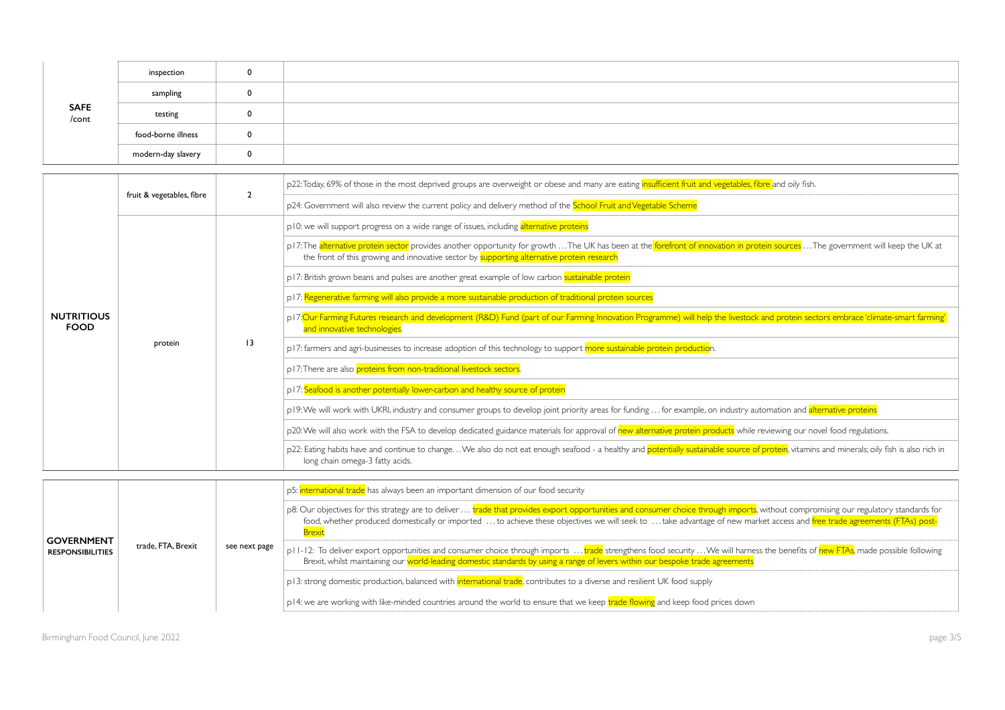| SAFE<br>/cont | inspection         | $\mathbf 0$ |  |
|---------------|--------------------|-------------|--|
|               | sampling           | 0           |  |
|               | testing            | 0           |  |
|               | food-borne illness | 0           |  |
|               | modern-day slavery | 0           |  |

| <b>NUTRITIOUS</b><br><b>FOOD</b> | fruit & vegetables, fibre | $\overline{2}$  | p22:Today, 69% of those in the most deprived groups are overweight or obese and many are eating <i>insufficient fruit and vegetables</i> , fibre and oily fish.                                                                                                                  |
|----------------------------------|---------------------------|-----------------|----------------------------------------------------------------------------------------------------------------------------------------------------------------------------------------------------------------------------------------------------------------------------------|
|                                  |                           |                 | p24: Government will also review the current policy and delivery method of the School Fruit and Vegetable Scheme                                                                                                                                                                 |
|                                  | protein                   |                 | p10: we will support progress on a wide range of issues, including alternative proteins                                                                                                                                                                                          |
|                                  |                           |                 | p17: The alternative protein sector provides another opportunity for growth  The UK has been at the forefront of innovation in protein sources  The government will keep the UK at<br>the front of this growing and innovative sector by supporting alternative protein research |
|                                  |                           |                 | p17: British grown beans and pulses are another great example of low carbon sustainable protein                                                                                                                                                                                  |
|                                  |                           |                 | p17: Regenerative farming will also provide a more sustainable production of traditional protein sources                                                                                                                                                                         |
|                                  |                           | $\overline{13}$ | p17: Our Farming Futures research and development (R&D) Fund (part of our Farming Innovation Programme) will help the livestock and protein sectors embrace 'climate-smart farming'<br>and innovative technologies.                                                              |
|                                  |                           |                 | p17: farmers and agri-businesses to increase adoption of this technology to support more sustainable protein production.                                                                                                                                                         |
|                                  |                           |                 | p17: There are also proteins from non-traditional livestock sectors.                                                                                                                                                                                                             |
|                                  |                           |                 | p17: Seafood is another potentially lower-carbon and healthy source of protein                                                                                                                                                                                                   |
|                                  |                           |                 | p19: We will work with UKRI, industry and consumer groups to develop joint priority areas for funding  for example, on industry automation and alternative proteins                                                                                                              |
|                                  |                           |                 | p20: We will also work with the FSA to develop dedicated guidance materials for approval of new alternative protein products while reviewing our novel food regulations.                                                                                                         |
|                                  |                           |                 | p22: Eating habits have and continue to changeWe also do not eat enough seafood - a healthy and potentially sustainable source of protein, vitamins and minerals; oily fish is also rich in<br>long chain omega-3 fatty acids.                                                   |

| <b>GOVERNMENT</b><br><b>RESPONSIBILITIES</b> | trade, FTA, Brexit | see next page | p5: international trade has always been an important dimension of our food security                                                                                                                                                                                                                                                                                                            |
|----------------------------------------------|--------------------|---------------|------------------------------------------------------------------------------------------------------------------------------------------------------------------------------------------------------------------------------------------------------------------------------------------------------------------------------------------------------------------------------------------------|
|                                              |                    |               | p8: Our objectives for this strategy are to deliver … <mark>trade that provides export opportunities and consumer choice through imports</mark> , without compromising our regulatory standards for<br>food, whether produced domestically or imported to achieve these objectives we will seek to take advantage of new market access and free trade agreements (FTAs) post-<br><b>Brexit</b> |
|                                              |                    |               | p11-12: To deliver export opportunities and consumer choice through imports  trade strengthens food security We will harness the benefits of new FTAs, made possible following<br>Brexit, whilst maintaining our world-leading domestic standards by using a range of levers within our bespoke trade agreements                                                                               |
|                                              |                    |               | pl3: strong domestic production, balanced with <mark>international trade</mark> , contributes to a diverse and resilient UK food supply                                                                                                                                                                                                                                                        |
|                                              |                    |               | pl4: we are working with like-minded countries around the world to ensure that we keep trade flowing and keep food prices down                                                                                                                                                                                                                                                                 |

| and oily fish.                                                                                  |
|-------------------------------------------------------------------------------------------------|
|                                                                                                 |
|                                                                                                 |
| sources  The government will keep the UK at                                                     |
|                                                                                                 |
|                                                                                                 |
| I protein sectors embrace 'climate-smart farming'                                               |
|                                                                                                 |
|                                                                                                 |
|                                                                                                 |
|                                                                                                 |
| nation and <mark>alternative proteins</mark>                                                    |
| ewing our novel food regulations.                                                               |
| <mark>otein</mark> , vitamins and minerals; oily fish is also rich in                           |
|                                                                                                 |
| hout compromising our regulatory standards for<br>access and free trade agreements (FTAs) post- |
| e benefits of new FTAs, made possible following                                                 |
|                                                                                                 |
|                                                                                                 |
|                                                                                                 |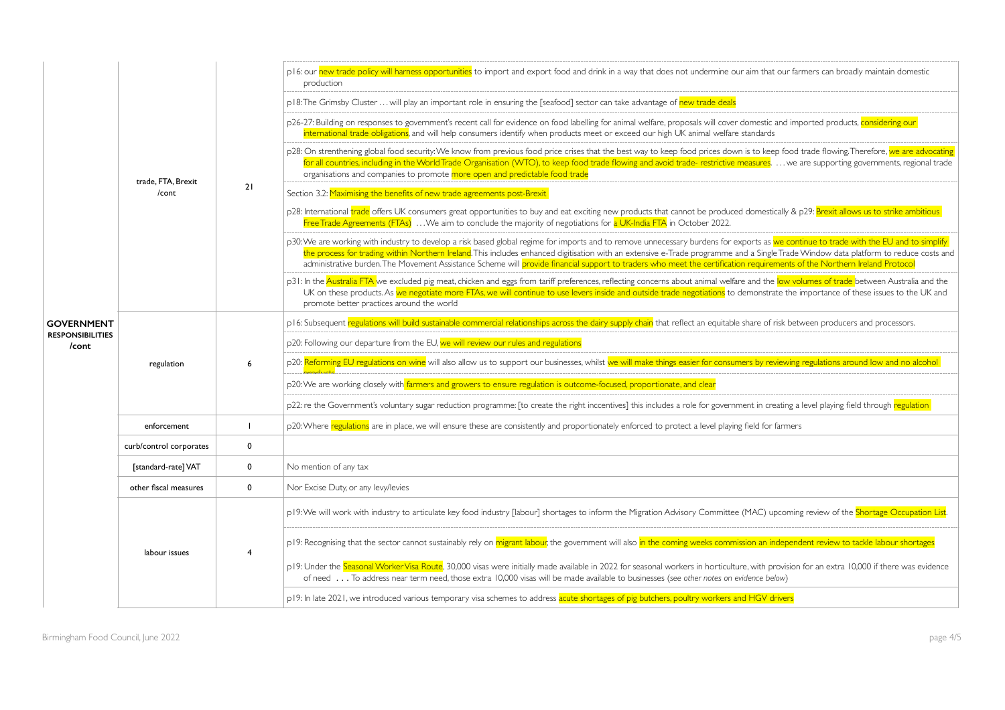|                                  | trade, FTA, Brexit<br>/cont |             |                                                                                                                                                                                                                                                                                                                                                                                                                                                                                                                                                           |
|----------------------------------|-----------------------------|-------------|-----------------------------------------------------------------------------------------------------------------------------------------------------------------------------------------------------------------------------------------------------------------------------------------------------------------------------------------------------------------------------------------------------------------------------------------------------------------------------------------------------------------------------------------------------------|
|                                  |                             |             | p16: our new trade policy will harness opportunities to import and export food and drink in a way that does not undermine our aim that our farmers can broadly maintain domestic<br>production                                                                                                                                                                                                                                                                                                                                                            |
|                                  |                             |             | p18: The Grimsby Cluster  will play an important role in ensuring the [seafood] sector can take advantage of new trade deals                                                                                                                                                                                                                                                                                                                                                                                                                              |
|                                  |                             |             | p26-27: Building on responses to government's recent call for evidence on food labelling for animal welfare, proposals will cover domestic and imported products, considering our<br>international trade obligations, and will help consumers identify when products meet or exceed our high UK animal welfare standards                                                                                                                                                                                                                                  |
|                                  |                             | 21          | p28: On strenthening global food security: We know from previous food price crises that the best way to keep food prices down is to keep food trade flowing. Therefore, we are advocating<br>for all countries, including in the World Trade Organisation (WTO), to keep food trade flowing and avoid trade- restrictive measures.  we are supporting governments, regional trade<br>organisations and companies to promote more open and predictable food trade                                                                                          |
|                                  |                             |             | Section 3.2: Maximising the benefits of new trade agreements post-Brexit                                                                                                                                                                                                                                                                                                                                                                                                                                                                                  |
|                                  |                             |             | p28: International trade offers UK consumers great opportunities to buy and eat exciting new products that cannot be produced domestically & p29: Brexit allows us to strike ambitious<br>Free Trade Agreements (FTAs)  We aim to conclude the majority of negotiations for a UK-India FTA in October 2022.                                                                                                                                                                                                                                               |
|                                  |                             |             | p30: We are working with industry to develop a risk based global regime for imports and to remove unnecessary burdens for exports as we continue to trade with the EU and to simplify<br>the process for trading within Northern Ireland. This includes enhanced digitisation with an extensive e-Trade programme and a Single Trade Window data platform to reduce costs and<br>administrative burden. The Movement Assistance Scheme will provide financial support to traders who meet the certification requirements of the Northern Ireland Protocol |
|                                  |                             |             | p31: In the Australia FTA we excluded pig meat, chicken and eggs from tariff preferences, reflecting concerns about animal welfare and the low volumes of trade between Australia and the<br>UK on these products. As we negotiate more FTAs, we will continue to use levers inside and outside trade negotiations to demonstrate the importance of these issues to the UK and<br>promote better practices around the world                                                                                                                               |
| <b>GOVERNMENT</b>                | regulation                  | 6           | p16: Subsequent regulations will build sustainable commercial relationships across the dairy supply chain that reflect an equitable share of risk between producers and processors.                                                                                                                                                                                                                                                                                                                                                                       |
| <b>RESPONSIBILITIES</b><br>/cont |                             |             | p20: Following our departure from the EU, we will review our rules and regulations                                                                                                                                                                                                                                                                                                                                                                                                                                                                        |
|                                  |                             |             | p20: Reforming EU regulations on wine will also allow us to support our businesses, whilst we will make things easier for consumers by reviewing regulations around low and no alcohol<br>$20 - 40 + 64$                                                                                                                                                                                                                                                                                                                                                  |
|                                  |                             |             | p20: We are working closely with farmers and growers to ensure regulation is outcome-focused, proportionate, and clear                                                                                                                                                                                                                                                                                                                                                                                                                                    |
|                                  |                             |             | p22: re the Government's voluntary sugar reduction programme: [to create the right inccentives] this includes a role for government in creating a level playing field through regulation                                                                                                                                                                                                                                                                                                                                                                  |
|                                  | enforcement                 |             | p20: Where regulations are in place, we will ensure these are consistently and proportionately enforced to protect a level playing field for farmers                                                                                                                                                                                                                                                                                                                                                                                                      |
|                                  | curb/control corporates     | 0           |                                                                                                                                                                                                                                                                                                                                                                                                                                                                                                                                                           |
|                                  | [standard-rate] VAT         | $\mathbf 0$ | No mention of any tax                                                                                                                                                                                                                                                                                                                                                                                                                                                                                                                                     |
|                                  | other fiscal measures       | $\mathbf 0$ | Nor Excise Duty, or any levy/levies                                                                                                                                                                                                                                                                                                                                                                                                                                                                                                                       |
|                                  | labour issues               | 4           | p19: We will work with industry to articulate key food industry [labour] shortages to inform the Migration Advisory Committee (MAC) upcoming review of the Shortage Occupation List.                                                                                                                                                                                                                                                                                                                                                                      |
|                                  |                             |             | p19: Recognising that the sector cannot sustainably rely on migrant labour, the government will also in the coming weeks commission an independent review to tackle labour shortages                                                                                                                                                                                                                                                                                                                                                                      |
|                                  |                             |             | p19: Under the Seasonal Worker Visa Route, 30,000 visas were initially made available in 2022 for seasonal workers in horticulture, with provision for an extra 10,000 if there was evidence<br>of need To address near term need, those extra 10,000 visas will be made available to businesses (see other notes on evidence below)                                                                                                                                                                                                                      |
|                                  |                             |             | p19: In late 2021, we introduced various temporary visa schemes to address acute shortages of pig butchers, poultry workers and HGV drivers                                                                                                                                                                                                                                                                                                                                                                                                               |

| t our farmers can broadly maintain domestic                                                                                                    |
|------------------------------------------------------------------------------------------------------------------------------------------------|
| and imported products, considering our                                                                                                         |
| ep food trade flowing.Therefore, <mark>we are advocating</mark><br>we are supporting governments, regional trade                               |
| ically & p29: <mark>Brexit allows us to strike ambitious</mark>                                                                                |
| we continue to trade with the EU and to simplify<br>e Trade Window data platform to reduce costs and<br>ments of the Northern Ireland Protocol |
| l <mark>low volumes of trade </mark> between Australia and the<br>ate the importance of these issues to the UK and                             |
| risk between producers and processors.                                                                                                         |
| viewing regulations around low and no alcohol                                                                                                  |
| eating a level playing field through <mark>regulation</mark>                                                                                   |
| farmers                                                                                                                                        |
|                                                                                                                                                |
|                                                                                                                                                |
| pcoming review of the Shortage Occupation List.                                                                                                |
| ndependent review to tackle labour shortages                                                                                                   |
| rovision for an extra 10,000 if there was evidence<br>:low)                                                                                    |
| <u> Irivers</u>                                                                                                                                |